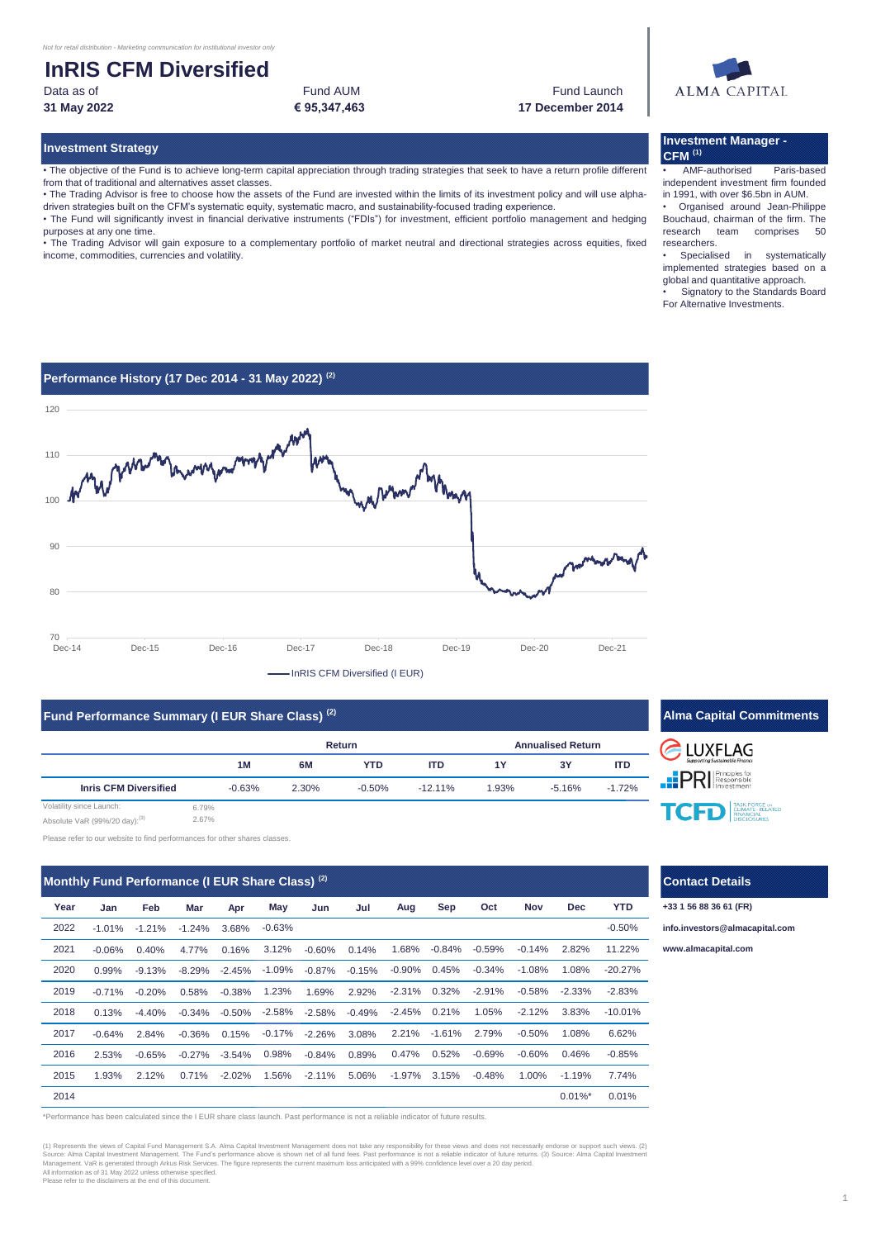Data as of Fund AUM **€ 95,347,463**

Fund Launch **31 May 2022 17 December 2014**

#### **Investment Strategy**

• The objective of the Fund is to achieve long-term capital appreciation through trading strategies that seek to have a return profile different from that of traditional and alternatives asset classes.

• The Trading Advisor is free to choose how the assets of the Fund are invested within the limits of its investment policy and will use alphadriven strategies built on the CFM's systematic equity, systematic macro, and sustainability-focused trading experience. • The Fund will significantly invest in financial derivative instruments ("FDIs") for investment, efficient portfolio management and hedging

purposes at any one time.

• The Trading Advisor will gain exposure to a complementary portfolio of market neutral and directional strategies across equities, fixed income, commodities, currencies and volatility.

# **ALMA CAPITAL**

## **Investment Manager - CFM (1)**

• AMF-authorised Paris-based independent investment firm founded in 1991, with over \$6.5bn in AUM. Organised around Jean-Philippe Bouchaud, chairman of the firm. The<br>research team comprises 50 team comprises researchers.

Specialised in systematically implemented strategies based on a global and quantitative approach.

Signatory to the Standards Board For Alternative Investments.





**Fund Performance Summary (I EUR Share Class) (2)**

| <b>Turn enormance Summary (FLOT</b> ) Share Glass |               |          |       |            |            |                          |        |            |
|---------------------------------------------------|---------------|----------|-------|------------|------------|--------------------------|--------|------------|
|                                                   | <b>Return</b> |          |       |            |            | <b>Annualised Return</b> |        |            |
|                                                   |               | 1M       | 6M    | <b>YTD</b> | <b>ITD</b> | 1Y                       | 3Y     | <b>ITD</b> |
| <b>Inris CFM Diversified</b>                      |               | $-0.63%$ | 2.30% | $-0.50%$   | $-12.11\%$ | 1.93%                    | -5.16% | $-1.72%$   |
| Volatility since Launch:                          | 6.79%         |          |       |            |            |                          |        |            |
|                                                   | 0.070/        |          |       |            |            |                          |        |            |

VaR (99%/20 day):

ase refer to our website to find performances for other shares classes.

**Jan Feb Mar Apr Jun Jul** -1.01% -1.21% -1.24% 3.68% 2021 -0.06% 0.40% 4.77% 0.16% 3.12% -0.60% 0.14% 0.99% -9.13% -8.29% -2.45% -0.87% -0.15% -0.71% -0.20% 0.58% -0.38% 1.69% 2.92% 0.13% -4.40% -0.34% -0.50% -2.58% -0.49% -0.64% 2.84% -0.36% 0.15% -2.26% 3.08% 2.53% -0.65% -0.27% -3.54% -0.84% 0.89% 1.93% 2.12% 0.71% -2.02% -2.11% 5.06% **YTD** -0.50% **Year May Aug Sep Oct Nov Dec** 2022 2020 0.99% -9.13% -8.29% -2.45% -1.09% -0.87% -0.15% -0.90% 2018 2019 2015 1.93% 2.12% 0.71% -2.02% 1.56% -2.11% 5.06% -1.97% 2014 2017 -0.64% 2.84% -0.36% 0.15% -0.17% -2.26% 3.08% 2.21% -0.63% -2.58% -2.45% -1.61% 2.79% 1.23% -2.31% 0.32% -2.91% 2016 2.53% -0.65% -0.27% -3.54% 0.98% -0.84% 0.89% 0.47% 0.01%\* 0.01% 0.21% 1.05% -2.12% 0.52% -0.69% -0.60% 0.46% -0.85% -0.50% -0.14% 2.82% 11.22% **Monthly Fund Performance (I EUR Share Class) (2)** 3.15% -0.48% 1.00% -1.19% 7.74% 3.83% -10.01% 0.45% -0.34% -1.08% 1.08% -20.27% 1.08% 6.62% -0.58% -2.33% -2.83% 1.68% -0.84% -0.59%

\*Performance has been calculated since the I EUR share class launch. Past performance is not a reliable indicator of future results.

(1) Represents the views of Capital Fund Management S.A. Alma Capital Investment Management does not take any responsibility for these views and does not necessarily endorse or support such views. (2) Source: Alma Capital Source: Alma Capital Investment Management. The Fund's performance above here alse that performance is not arelable indicator of future returns. (3) Source: Alma Capital Investment<br>Management. VaR is generated through Arku All information as of 31 May 2022 unless otherwise specified. Please refer to the disclaimers at the end of this document.

# **Alma Capital Commitments ELUXFLAG PRI** Responsible TCFD ENATE-RELATED

# **Contact Details**

**+33 1 56 88 36 61 (FR)**

**[info.in](mailto:info.investors@almacapital.com)vestors@almacapital.com**

**[www.](http://www.almacapital.com/)almacapital.com**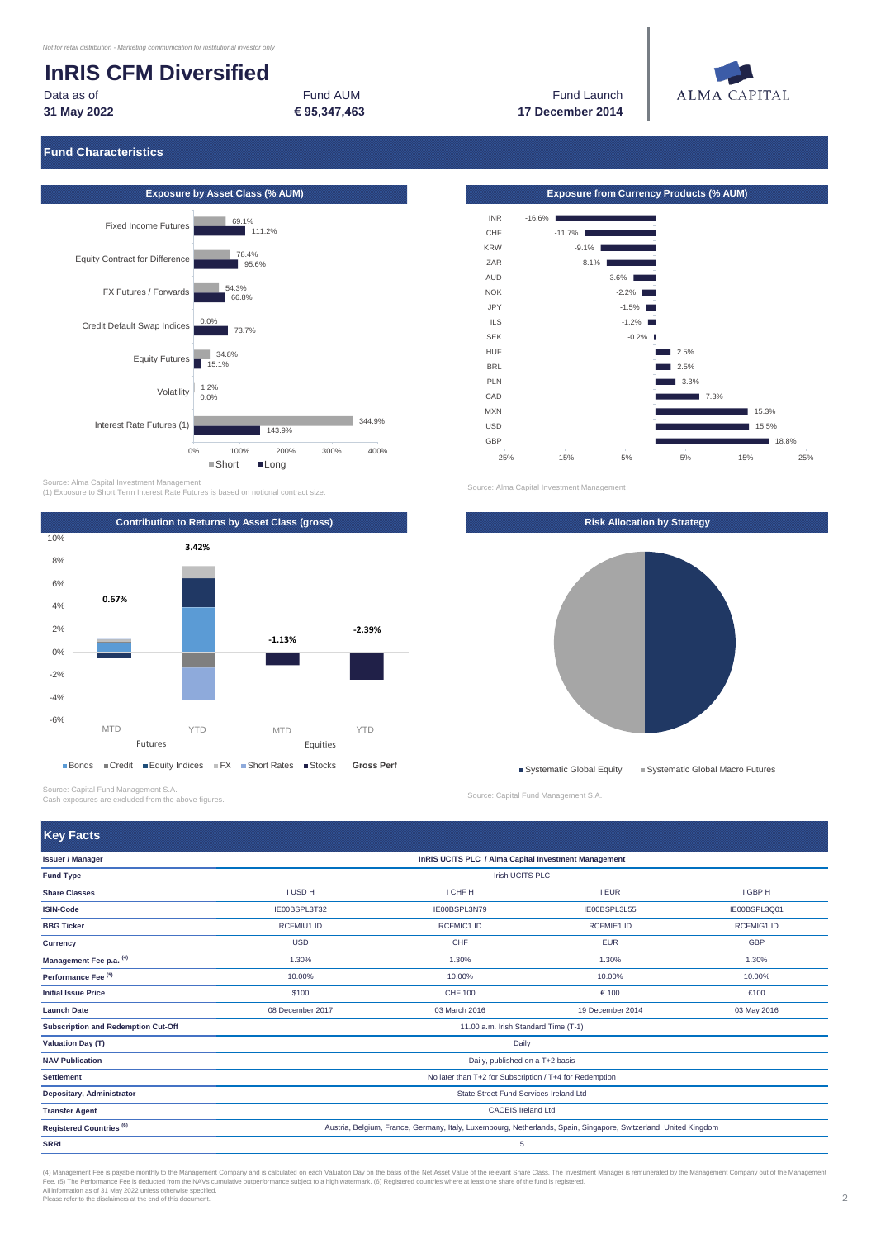Data as of Fund AUM **31 May 2022 € 95,347,463**

Fund Launch **17 December 2014**



## **Fund Characteristics**



Source: Alma Capital Investment Management (1) Exposure to Short Term Interest Rate Futures is based on notional contract size.



Source: Capital Fund Management S.A. Cash exposures are excluded from the above figures.

**Key Facts**

**Exposure by Asset Class (% AUM) Exposure from Currency Products (% AUM)** -16.6% -11.7%  $-9.1\%$  $-8.1\%$ -3.6% -2.2%  $-1.5\%$ -1.2% -0.2%  $2.5%$  $12.5%$ 3.3%  $\blacksquare$  7.3% 15.3% 15.5% 18.8% -25% -15% -5% 5% 15% 25% INR CHF KRW ZAR AUD NOK JPY ILS SEK HUF **BRL** PLN CAD MXN USD GRP

Source: Alma Capital Investment Management



Source: Capital Fund Management S.A.

**SRRI** 5 **Fund Type** Irish UCITS PLC **Transfer Agent** CACEIS Ireland Ltd No later than T+2 for Subscription / T+4 for Redemption State Street Fund Services Ireland Ltd **Share Classes ISIN-Code**  I USD H I GHE H I GHE H I GHE H I GHE H I GHE H I GHE H I GHE H I GHE H I GHE H I GHE H I GHE H I GHE H I GHE H IE00BSPL3Q01 RCFMIG1 ID GBP 1.30% 10.00% £100 03 May 2016 I EUR IE00BSPL3L55 **Issuer / Manager InRIS UCITS PLC / Alma Capital Investment Management** 11.00 a.m. Irish Standard Time (T-1) Daily Daily, published on a T+2 basis **BBG Ticker Currency Management Fee p.a. (4) Performance Fee (5) Initial Issue Price Launch Date Subscription and Redemption Cut-Off Valuation Day (T) NAV Publication**  RCFMIU1 ID USD 1.30% 10.00% \$100 08 December 2017 I CHF H IE00BSPL3N79 RCFMIC1 ID  $CHI$ 1.30% 10.00% CHF 100 03 March 2016 IE00BSPL3T32 RCFMIE1 ID EUR 1.30% 10.00% € 100 19 December 2014 **Settlement Depositary, Administrator** Registered Countries <sup>(6)</sup> Austria, Belgium, France, Germany, Italy, Luxembourg, Netherlands, Spain, Singapore, Switzerland, United Kingdom

(4) Management Fee is payable monthly to the Management Company and is calculated on each Valuation Day on the basis of the Net Asset Value of the relevant Share Class. The Investment Manager is remunerated by the Manageme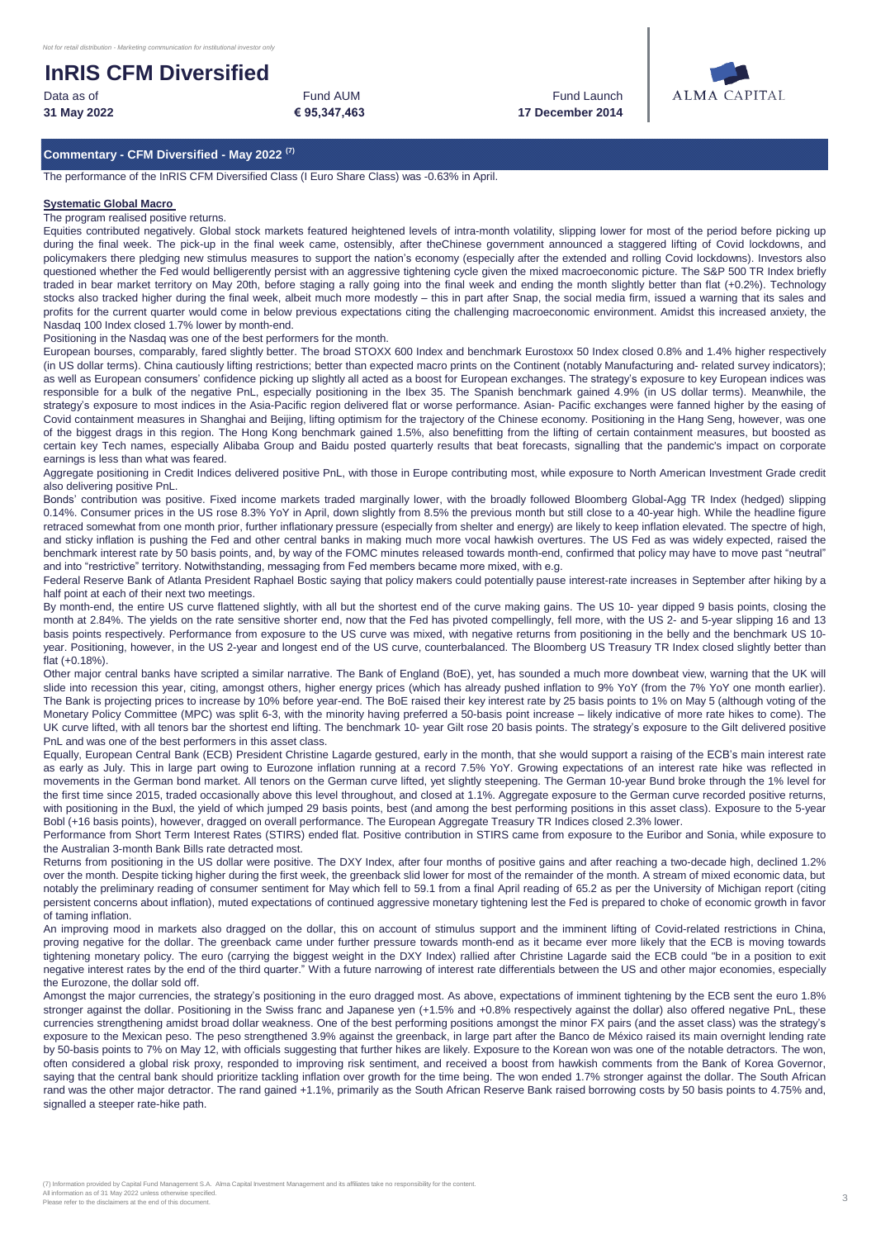**31 May 2022** Data as of **Fund AUM Example 20** Fund AUM **Example 20** Fund Launch

Fund AUM

**€ 95,347,463 17 December 2014**



## **Commentary - CFM Diversified - May 2022 (7)**

The performance of the InRIS CFM Diversified Class (I Euro Share Class) was -0.63% in April.

#### **Systematic Global Macro**

The program realised positive returns.

Equities contributed negatively. Global stock markets featured heightened levels of intra-month volatility, slipping lower for most of the period before picking up during the final week. The pick-up in the final week came, ostensibly, after theChinese government announced a staggered lifting of Covid lockdowns, and policymakers there pledging new stimulus measures to support the nation's economy (especially after the extended and rolling Covid lockdowns). Investors also questioned whether the Fed would belligerently persist with an aggressive tightening cycle given the mixed macroeconomic picture. The S&P 500 TR Index briefly traded in bear market territory on May 20th, before staging a rally going into the final week and ending the month slightly better than flat (+0.2%). Technology stocks also tracked higher during the final week, albeit much more modestly – this in part after Snap, the social media firm, issued a warning that its sales and profits for the current quarter would come in below previous expectations citing the challenging macroeconomic environment. Amidst this increased anxiety, the Nasdaq 100 Index closed 1.7% lower by month-end.

Positioning in the Nasdaq was one of the best performers for the month.

European bourses, comparably, fared slightly better. The broad STOXX 600 Index and benchmark Eurostoxx 50 Index closed 0.8% and 1.4% higher respectively (in US dollar terms). China cautiously lifting restrictions; better than expected macro prints on the Continent (notably Manufacturing and- related survey indicators); as well as European consumers' confidence picking up slightly all acted as a boost for European exchanges. The strategy's exposure to key European indices was responsible for a bulk of the negative PnL, especially positioning in the Ibex 35. The Spanish benchmark gained 4.9% (in US dollar terms). Meanwhile, the strategy's exposure to most indices in the Asia-Pacific region delivered flat or worse performance. Asian- Pacific exchanges were fanned higher by the easing of Covid containment measures in Shanghai and Beijing, lifting optimism for the trajectory of the Chinese economy. Positioning in the Hang Seng, however, was one of the biggest drags in this region. The Hong Kong benchmark gained 1.5%, also benefitting from the lifting of certain containment measures, but boosted as certain key Tech names, especially Alibaba Group and Baidu posted quarterly results that beat forecasts, signalling that the pandemic's impact on corporate earnings is less than what was feared.

Aggregate positioning in Credit Indices delivered positive PnL, with those in Europe contributing most, while exposure to North American Investment Grade credit also delivering positive PnL.

Bonds' contribution was positive. Fixed income markets traded marginally lower, with the broadly followed Bloomberg Global-Agg TR Index (hedged) slipping 0.14%. Consumer prices in the US rose 8.3% YoY in April, down slightly from 8.5% the previous month but still close to a 40-year high. While the headline figure retraced somewhat from one month prior, further inflationary pressure (especially from shelter and energy) are likely to keep inflation elevated. The spectre of high, and sticky inflation is pushing the Fed and other central banks in making much more vocal hawkish overtures. The US Fed as was widely expected, raised the benchmark interest rate by 50 basis points, and, by way of the FOMC minutes released towards month-end, confirmed that policy may have to move past "neutral" and into "restrictive" territory. Notwithstanding, messaging from Fed members became more mixed, with e.g.

Federal Reserve Bank of Atlanta President Raphael Bostic saying that policy makers could potentially pause interest-rate increases in September after hiking by a half point at each of their next two meetings.

By month-end, the entire US curve flattened slightly, with all but the shortest end of the curve making gains. The US 10- year dipped 9 basis points, closing the month at 2.84%. The yields on the rate sensitive shorter end, now that the Fed has pivoted compellingly, fell more, with the US 2- and 5-year slipping 16 and 13 basis points respectively. Performance from exposure to the US curve was mixed, with negative returns from positioning in the belly and the benchmark US 10 year. Positioning, however, in the US 2-year and longest end of the US curve, counterbalanced. The Bloomberg US Treasury TR Index closed slightly better than flat (+0.18%).

Other major central banks have scripted a similar narrative. The Bank of England (BoE), yet, has sounded a much more downbeat view, warning that the UK will slide into recession this year, citing, amongst others, higher energy prices (which has already pushed inflation to 9% YoY (from the 7% YoY one month earlier). The Bank is projecting prices to increase by 10% before year-end. The BoE raised their key interest rate by 25 basis points to 1% on May 5 (although voting of the Monetary Policy Committee (MPC) was split 6-3, with the minority having preferred a 50-basis point increase – likely indicative of more rate hikes to come). The UK curve lifted, with all tenors bar the shortest end lifting. The benchmark 10- year Gilt rose 20 basis points. The strategy's exposure to the Gilt delivered positive PnL and was one of the best performers in this asset class.

Equally, European Central Bank (ECB) President Christine Lagarde gestured, early in the month, that she would support a raising of the ECB's main interest rate as early as July. This in large part owing to Eurozone inflation running at a record 7.5% YoY. Growing expectations of an interest rate hike was reflected in movements in the German bond market. All tenors on the German curve lifted, yet slightly steepening. The German 10-year Bund broke through the 1% level for the first time since 2015, traded occasionally above this level throughout, and closed at 1.1%. Aggregate exposure to the German curve recorded positive returns, with positioning in the Buxl, the yield of which jumped 29 basis points, best (and among the best performing positions in this asset class). Exposure to the 5-year Bobl (+16 basis points), however, dragged on overall performance. The European Aggregate Treasury TR Indices closed 2.3% lower.

Performance from Short Term Interest Rates (STIRS) ended flat. Positive contribution in STIRS came from exposure to the Euribor and Sonia, while exposure to the Australian 3-month Bank Bills rate detracted most.

Returns from positioning in the US dollar were positive. The DXY Index, after four months of positive gains and after reaching a two-decade high, declined 1.2% over the month. Despite ticking higher during the first week, the greenback slid lower for most of the remainder of the month. A stream of mixed economic data, but notably the preliminary reading of consumer sentiment for May which fell to 59.1 from a final April reading of 65.2 as per the University of Michigan report (citing persistent concerns about inflation), muted expectations of continued aggressive monetary tightening lest the Fed is prepared to choke of economic growth in favor of taming inflation.

An improving mood in markets also dragged on the dollar, this on account of stimulus support and the imminent lifting of Covid-related restrictions in China, proving negative for the dollar. The greenback came under further pressure towards month-end as it became ever more likely that the ECB is moving towards tightening monetary policy. The euro (carrying the biggest weight in the DXY Index) rallied after Christine Lagarde said the ECB could "be in a position to exit negative interest rates by the end of the third quarter." With a future narrowing of interest rate differentials between the US and other major economies, especially the Eurozone, the dollar sold off.

Amongst the major currencies, the strategy's positioning in the euro dragged most. As above, expectations of imminent tightening by the ECB sent the euro 1.8% stronger against the dollar. Positioning in the Swiss franc and Japanese yen (+1.5% and +0.8% respectively against the dollar) also offered negative PnL, these currencies strengthening amidst broad dollar weakness. One of the best performing positions amongst the minor FX pairs (and the asset class) was the strategy's exposure to the Mexican peso. The peso strengthened 3.9% against the greenback, in large part after the Banco de México raised its main overnight lending rate by 50-basis points to 7% on May 12, with officials suggesting that further hikes are likely. Exposure to the Korean won was one of the notable detractors. The won, often considered a global risk proxy, responded to improving risk sentiment, and received a boost from hawkish comments from the Bank of Korea Governor, saying that the central bank should prioritize tackling inflation over growth for the time being. The won ended 1.7% stronger against the dollar. The South African rand was the other major detractor. The rand gained +1.1%, primarily as the South African Reserve Bank raised borrowing costs by 50 basis points to 4.75% and, signalled a steeper rate-hike path.